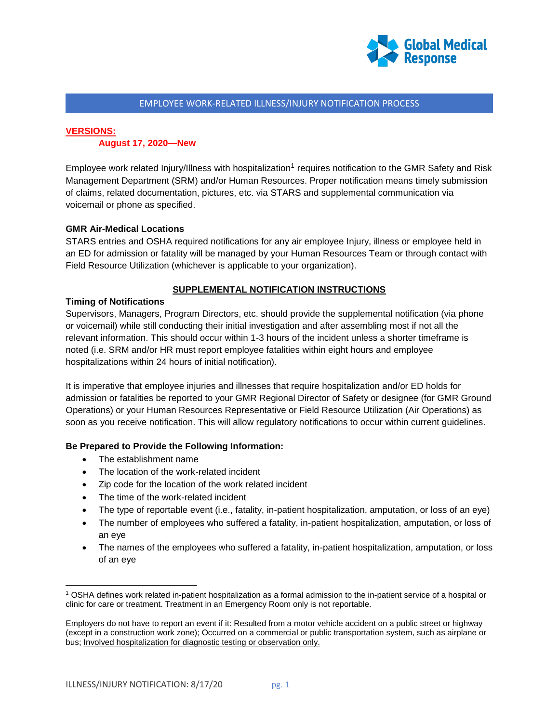

#### EMPLOYEE WORK-RELATED ILLNESS/INJURY NOTIFICATION PROCESS

# **VERSIONS:**

#### **August 17, 2020—New**

Employee work related Injury/Illness with hospitalization<sup>1</sup> requires notification to the GMR Safety and Risk Management Department (SRM) and/or Human Resources. Proper notification means timely submission of claims, related documentation, pictures, etc. via STARS and supplemental communication via voicemail or phone as specified.

#### **GMR Air-Medical Locations**

STARS entries and OSHA required notifications for any air employee Injury, illness or employee held in an ED for admission or fatality will be managed by your Human Resources Team or through contact with Field Resource Utilization (whichever is applicable to your organization).

#### **SUPPLEMENTAL NOTIFICATION INSTRUCTIONS**

#### **Timing of Notifications**

Supervisors, Managers, Program Directors, etc. should provide the supplemental notification (via phone or voicemail) while still conducting their initial investigation and after assembling most if not all the relevant information. This should occur within 1-3 hours of the incident unless a shorter timeframe is noted (i.e. SRM and/or HR must report employee fatalities within eight hours and employee hospitalizations within 24 hours of initial notification).

It is imperative that employee injuries and illnesses that require hospitalization and/or ED holds for admission or fatalities be reported to your GMR Regional Director of Safety or designee (for GMR Ground Operations) or your Human Resources Representative or Field Resource Utilization (Air Operations) as soon as you receive notification. This will allow regulatory notifications to occur within current guidelines.

#### **Be Prepared to Provide the Following Information:**

- The establishment name
- The location of the work-related incident
- Zip code for the location of the work related incident
- The time of the work-related incident
- The type of reportable event (i.e., fatality, in-patient hospitalization, amputation, or loss of an eye)
- The number of employees who suffered a fatality, in-patient hospitalization, amputation, or loss of an eye
- The names of the employees who suffered a fatality, in-patient hospitalization, amputation, or loss of an eye

 $\overline{\phantom{a}}$ 

<sup>1</sup> OSHA defines work related in-patient hospitalization as a formal admission to the in-patient service of a hospital or clinic for care or treatment. Treatment in an Emergency Room only is not reportable.

Employers do not have to report an event if it: Resulted from a motor vehicle accident on a public street or highway (except in a construction work zone); Occurred on a commercial or public transportation system, such as airplane or bus; Involved hospitalization for diagnostic testing or observation only.